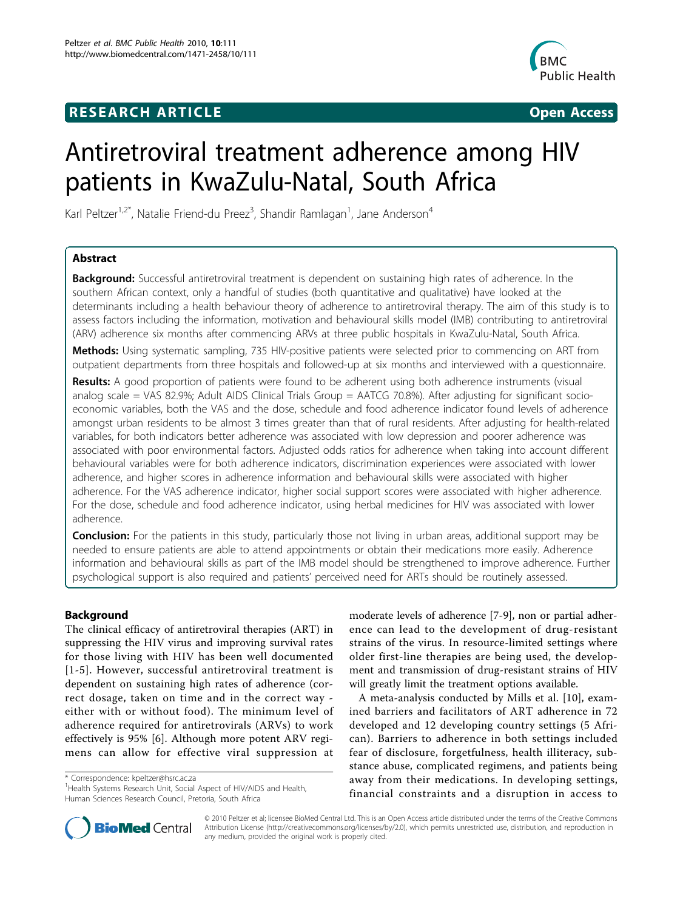## **RESEARCH ARTICLE Example 2018 Open Access**



# Antiretroviral treatment adherence among HIV patients in KwaZulu-Natal, South Africa

Karl Peltzer<sup>1,2\*</sup>, Natalie Friend-du Preez<sup>3</sup>, Shandir Ramlagan<sup>1</sup>, Jane Anderson<sup>4</sup>

## Abstract

**Background:** Successful antiretroviral treatment is dependent on sustaining high rates of adherence. In the southern African context, only a handful of studies (both quantitative and qualitative) have looked at the determinants including a health behaviour theory of adherence to antiretroviral therapy. The aim of this study is to assess factors including the information, motivation and behavioural skills model (IMB) contributing to antiretroviral (ARV) adherence six months after commencing ARVs at three public hospitals in KwaZulu-Natal, South Africa.

Methods: Using systematic sampling, 735 HIV-positive patients were selected prior to commencing on ART from outpatient departments from three hospitals and followed-up at six months and interviewed with a questionnaire.

**Results:** A good proportion of patients were found to be adherent using both adherence instruments (visual analog scale = VAS 82.9%; Adult AIDS Clinical Trials Group = AATCG 70.8%). After adjusting for significant socioeconomic variables, both the VAS and the dose, schedule and food adherence indicator found levels of adherence amongst urban residents to be almost 3 times greater than that of rural residents. After adjusting for health-related variables, for both indicators better adherence was associated with low depression and poorer adherence was associated with poor environmental factors. Adjusted odds ratios for adherence when taking into account different behavioural variables were for both adherence indicators, discrimination experiences were associated with lower adherence, and higher scores in adherence information and behavioural skills were associated with higher adherence. For the VAS adherence indicator, higher social support scores were associated with higher adherence. For the dose, schedule and food adherence indicator, using herbal medicines for HIV was associated with lower adherence.

**Conclusion:** For the patients in this study, particularly those not living in urban areas, additional support may be needed to ensure patients are able to attend appointments or obtain their medications more easily. Adherence information and behavioural skills as part of the IMB model should be strengthened to improve adherence. Further psychological support is also required and patients' perceived need for ARTs should be routinely assessed.

## Background

The clinical efficacy of antiretroviral therapies (ART) in suppressing the HIV virus and improving survival rates for those living with HIV has been well documented [[1](#page-8-0)-[5](#page-8-0)]. However, successful antiretroviral treatment is dependent on sustaining high rates of adherence (correct dosage, taken on time and in the correct way either with or without food). The minimum level of adherence required for antiretrovirals (ARVs) to work effectively is 95% [\[6](#page-8-0)]. Although more potent ARV regimens can allow for effective viral suppression at

\* Correspondence: [kpeltzer@hsrc.ac.za](mailto:kpeltzer@hsrc.ac.za)

<sup>1</sup> Health Systems Research Unit, Social Aspect of HIV/AIDS and Health, Human Sciences Research Council, Pretoria, South Africa

moderate levels of adherence [\[7](#page-9-0)-[9\]](#page-9-0), non or partial adherence can lead to the development of drug-resistant strains of the virus. In resource-limited settings where older first-line therapies are being used, the development and transmission of drug-resistant strains of HIV will greatly limit the treatment options available.

A meta-analysis conducted by Mills et al. [[10](#page-9-0)], examined barriers and facilitators of ART adherence in 72 developed and 12 developing country settings (5 African). Barriers to adherence in both settings included fear of disclosure, forgetfulness, health illiteracy, substance abuse, complicated regimens, and patients being away from their medications. In developing settings, financial constraints and a disruption in access to



© 2010 Peltzer et al; licensee BioMed Central Ltd. This is an Open Access article distributed under the terms of the Creative Commons Attribution License [\(http://creativecommons.org/licenses/by/2.0](http://creativecommons.org/licenses/by/2.0)), which permits unrestricted use, distribution, and reproduction in any medium, provided the original work is properly cited.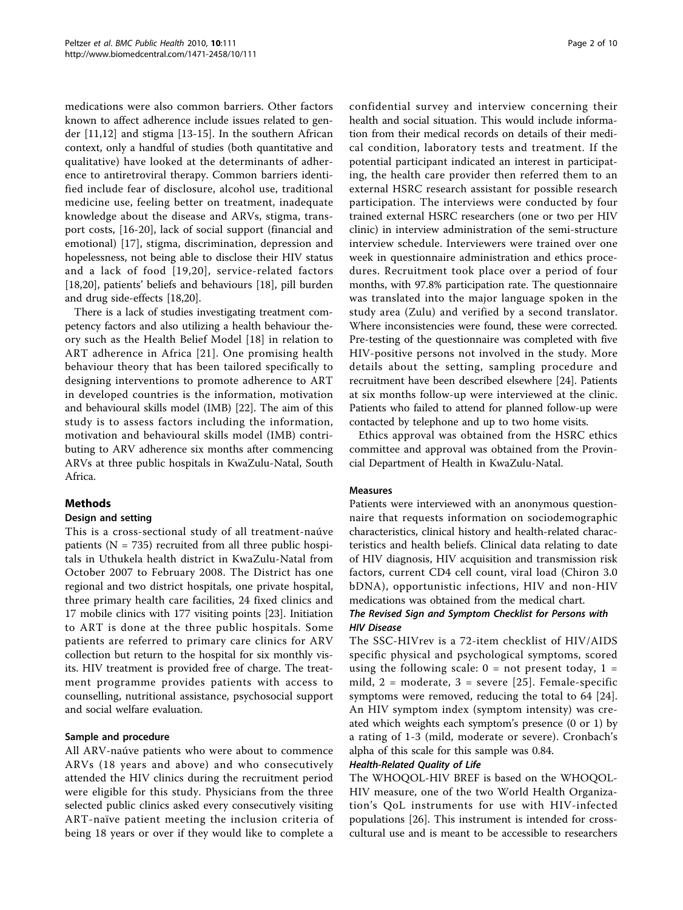medications were also common barriers. Other factors known to affect adherence include issues related to gender [[11,12\]](#page-9-0) and stigma [\[13](#page-9-0)-[15\]](#page-9-0). In the southern African context, only a handful of studies (both quantitative and qualitative) have looked at the determinants of adherence to antiretroviral therapy. Common barriers identified include fear of disclosure, alcohol use, traditional medicine use, feeling better on treatment, inadequate knowledge about the disease and ARVs, stigma, transport costs, [\[16](#page-9-0)-[20\]](#page-9-0), lack of social support (financial and emotional) [[17\]](#page-9-0), stigma, discrimination, depression and hopelessness, not being able to disclose their HIV status and a lack of food [[19,20\]](#page-9-0), service-related factors [[18,20\]](#page-9-0), patients' beliefs and behaviours [\[18](#page-9-0)], pill burden and drug side-effects [[18,20](#page-9-0)].

There is a lack of studies investigating treatment competency factors and also utilizing a health behaviour theory such as the Health Belief Model [[18\]](#page-9-0) in relation to ART adherence in Africa [[21\]](#page-9-0). One promising health behaviour theory that has been tailored specifically to designing interventions to promote adherence to ART in developed countries is the information, motivation and behavioural skills model (IMB) [\[22](#page-9-0)]. The aim of this study is to assess factors including the information, motivation and behavioural skills model (IMB) contributing to ARV adherence six months after commencing ARVs at three public hospitals in KwaZulu-Natal, South Africa.

## Methods

## Design and setting

This is a cross-sectional study of all treatment-naúve patients  $(N = 735)$  recruited from all three public hospitals in Uthukela health district in KwaZulu-Natal from October 2007 to February 2008. The District has one regional and two district hospitals, one private hospital, three primary health care facilities, 24 fixed clinics and 17 mobile clinics with 177 visiting points [\[23](#page-9-0)]. Initiation to ART is done at the three public hospitals. Some patients are referred to primary care clinics for ARV collection but return to the hospital for six monthly visits. HIV treatment is provided free of charge. The treatment programme provides patients with access to counselling, nutritional assistance, psychosocial support and social welfare evaluation.

## Sample and procedure

All ARV-naúve patients who were about to commence ARVs (18 years and above) and who consecutively attended the HIV clinics during the recruitment period were eligible for this study. Physicians from the three selected public clinics asked every consecutively visiting ART-naïve patient meeting the inclusion criteria of being 18 years or over if they would like to complete a confidential survey and interview concerning their health and social situation. This would include information from their medical records on details of their medical condition, laboratory tests and treatment. If the potential participant indicated an interest in participating, the health care provider then referred them to an external HSRC research assistant for possible research participation. The interviews were conducted by four trained external HSRC researchers (one or two per HIV clinic) in interview administration of the semi-structure interview schedule. Interviewers were trained over one week in questionnaire administration and ethics procedures. Recruitment took place over a period of four months, with 97.8% participation rate. The questionnaire was translated into the major language spoken in the study area (Zulu) and verified by a second translator. Where inconsistencies were found, these were corrected. Pre-testing of the questionnaire was completed with five HIV-positive persons not involved in the study. More details about the setting, sampling procedure and recruitment have been described elsewhere [\[24\]](#page-9-0). Patients at six months follow-up were interviewed at the clinic. Patients who failed to attend for planned follow-up were contacted by telephone and up to two home visits.

Ethics approval was obtained from the HSRC ethics committee and approval was obtained from the Provincial Department of Health in KwaZulu-Natal.

## Measures

Patients were interviewed with an anonymous questionnaire that requests information on sociodemographic characteristics, clinical history and health-related characteristics and health beliefs. Clinical data relating to date of HIV diagnosis, HIV acquisition and transmission risk factors, current CD4 cell count, viral load (Chiron 3.0 bDNA), opportunistic infections, HIV and non-HIV medications was obtained from the medical chart.

## The Revised Sign and Symptom Checklist for Persons with HIV Disease

The SSC-HIVrev is a 72-item checklist of HIV/AIDS specific physical and psychological symptoms, scored using the following scale:  $0 = not present today, 1 =$ mild,  $2 =$  moderate,  $3 =$  severe [\[25](#page-9-0)]. Female-specific symptoms were removed, reducing the total to 64 [\[24](#page-9-0)]. An HIV symptom index (symptom intensity) was created which weights each symptom's presence (0 or 1) by a rating of 1-3 (mild, moderate or severe). Cronbach's alpha of this scale for this sample was 0.84.

## Health-Related Quality of Life

The WHOQOL-HIV BREF is based on the WHOQOL-HIV measure, one of the two World Health Organization's QoL instruments for use with HIV-infected populations [[26\]](#page-9-0). This instrument is intended for crosscultural use and is meant to be accessible to researchers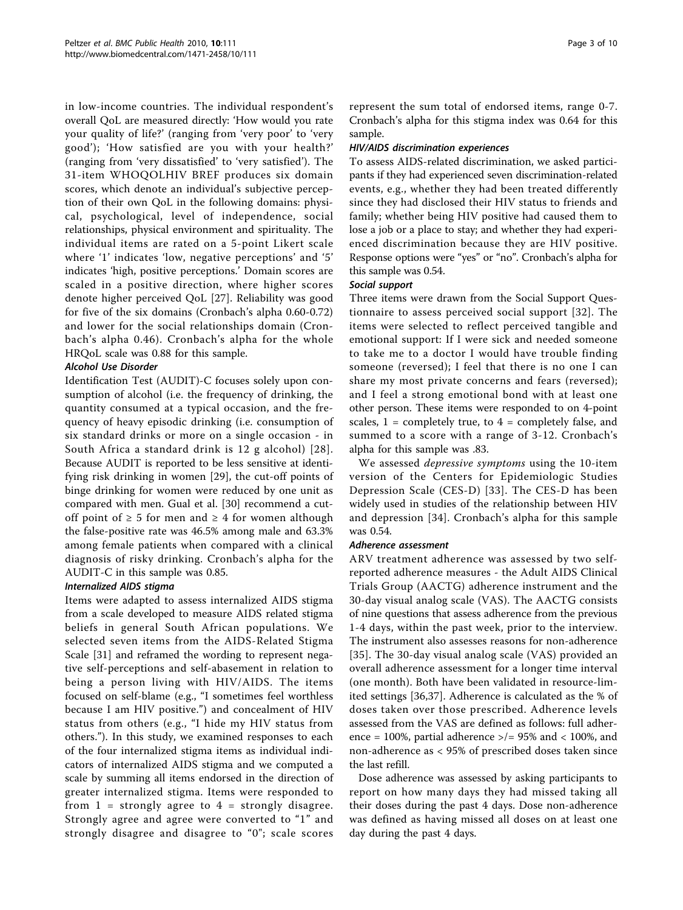in low-income countries. The individual respondent's overall QoL are measured directly: 'How would you rate your quality of life?' (ranging from 'very poor' to 'very good'); 'How satisfied are you with your health?' (ranging from 'very dissatisfied' to 'very satisfied'). The 31-item WHOQOLHIV BREF produces six domain scores, which denote an individual's subjective perception of their own QoL in the following domains: physical, psychological, level of independence, social relationships, physical environment and spirituality. The individual items are rated on a 5-point Likert scale where '1' indicates 'low, negative perceptions' and '5' indicates 'high, positive perceptions.' Domain scores are scaled in a positive direction, where higher scores denote higher perceived QoL [\[27](#page-9-0)]. Reliability was good for five of the six domains (Cronbach's alpha 0.60-0.72) and lower for the social relationships domain (Cronbach's alpha 0.46). Cronbach's alpha for the whole HRQoL scale was 0.88 for this sample.

## Alcohol Use Disorder

Identification Test (AUDIT)-C focuses solely upon consumption of alcohol (i.e. the frequency of drinking, the quantity consumed at a typical occasion, and the frequency of heavy episodic drinking (i.e. consumption of six standard drinks or more on a single occasion - in South Africa a standard drink is 12 g alcohol) [[28\]](#page-9-0). Because AUDIT is reported to be less sensitive at identifying risk drinking in women [\[29](#page-9-0)], the cut-off points of binge drinking for women were reduced by one unit as compared with men. Gual et al. [[30\]](#page-9-0) recommend a cutoff point of ≥ 5 for men and ≥ 4 for women although the false-positive rate was 46.5% among male and 63.3% among female patients when compared with a clinical diagnosis of risky drinking. Cronbach's alpha for the AUDIT-C in this sample was 0.85.

## Internalized AIDS stigma

Items were adapted to assess internalized AIDS stigma from a scale developed to measure AIDS related stigma beliefs in general South African populations. We selected seven items from the AIDS-Related Stigma Scale [\[31](#page-9-0)] and reframed the wording to represent negative self-perceptions and self-abasement in relation to being a person living with HIV/AIDS. The items focused on self-blame (e.g., "I sometimes feel worthless because I am HIV positive.") and concealment of HIV status from others (e.g., "I hide my HIV status from others."). In this study, we examined responses to each of the four internalized stigma items as individual indicators of internalized AIDS stigma and we computed a scale by summing all items endorsed in the direction of greater internalized stigma. Items were responded to from  $1$  = strongly agree to  $4$  = strongly disagree. Strongly agree and agree were converted to "1" and strongly disagree and disagree to "0"; scale scores represent the sum total of endorsed items, range 0-7. Cronbach's alpha for this stigma index was 0.64 for this sample.

## HIV/AIDS discrimination experiences

To assess AIDS-related discrimination, we asked participants if they had experienced seven discrimination-related events, e.g., whether they had been treated differently since they had disclosed their HIV status to friends and family; whether being HIV positive had caused them to lose a job or a place to stay; and whether they had experienced discrimination because they are HIV positive. Response options were "yes" or "no". Cronbach's alpha for this sample was 0.54.

## Social support

Three items were drawn from the Social Support Questionnaire to assess perceived social support [[32](#page-9-0)]. The items were selected to reflect perceived tangible and emotional support: If I were sick and needed someone to take me to a doctor I would have trouble finding someone (reversed); I feel that there is no one I can share my most private concerns and fears (reversed); and I feel a strong emotional bond with at least one other person. These items were responded to on 4-point scales,  $1 =$  completely true, to  $4 =$  completely false, and summed to a score with a range of 3-12. Cronbach's alpha for this sample was .83.

We assessed depressive symptoms using the 10-item version of the Centers for Epidemiologic Studies Depression Scale (CES-D) [\[33\]](#page-9-0). The CES-D has been widely used in studies of the relationship between HIV and depression [\[34\]](#page-9-0). Cronbach's alpha for this sample was 0.54.

## Adherence assessment

ARV treatment adherence was assessed by two selfreported adherence measures - the Adult AIDS Clinical Trials Group (AACTG) adherence instrument and the 30-day visual analog scale (VAS). The AACTG consists of nine questions that assess adherence from the previous 1-4 days, within the past week, prior to the interview. The instrument also assesses reasons for non-adherence [[35](#page-9-0)]. The 30-day visual analog scale (VAS) provided an overall adherence assessment for a longer time interval (one month). Both have been validated in resource-limited settings [\[36,37](#page-9-0)]. Adherence is calculated as the % of doses taken over those prescribed. Adherence levels assessed from the VAS are defined as follows: full adherence = 100%, partial adherence  $\ge$ /= 95% and < 100%, and non-adherence as < 95% of prescribed doses taken since the last refill.

Dose adherence was assessed by asking participants to report on how many days they had missed taking all their doses during the past 4 days. Dose non-adherence was defined as having missed all doses on at least one day during the past 4 days.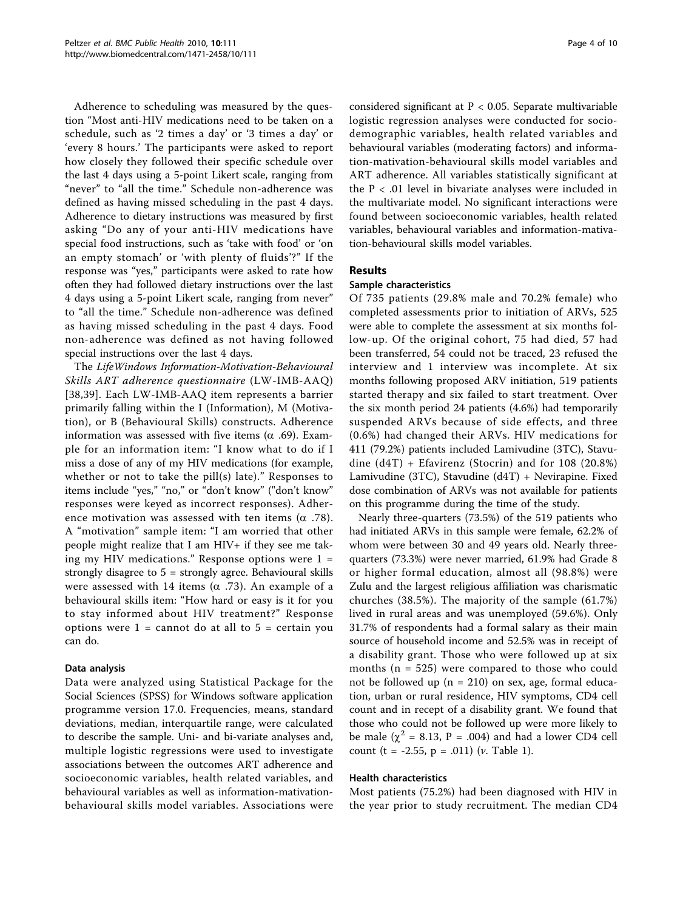Adherence to scheduling was measured by the question "Most anti-HIV medications need to be taken on a schedule, such as '2 times a day' or '3 times a day' or 'every 8 hours.' The participants were asked to report how closely they followed their specific schedule over the last 4 days using a 5-point Likert scale, ranging from "never" to "all the time." Schedule non-adherence was defined as having missed scheduling in the past 4 days. Adherence to dietary instructions was measured by first asking "Do any of your anti-HIV medications have special food instructions, such as 'take with food' or 'on an empty stomach' or 'with plenty of fluids'?" If the response was "yes," participants were asked to rate how often they had followed dietary instructions over the last 4 days using a 5-point Likert scale, ranging from never" to "all the time." Schedule non-adherence was defined as having missed scheduling in the past 4 days. Food non-adherence was defined as not having followed special instructions over the last 4 days.

The LifeWindows Information-Motivation-Behavioural Skills ART adherence questionnaire (LW-IMB-AAQ) [[38](#page-9-0),[39\]](#page-9-0). Each LW-IMB-AAQ item represents a barrier primarily falling within the I (Information), M (Motivation), or B (Behavioural Skills) constructs. Adherence information was assessed with five items  $(\alpha, 69)$ . Example for an information item: "I know what to do if I miss a dose of any of my HIV medications (for example, whether or not to take the pill(s) late)." Responses to items include "yes," "no," or "don't know" ("don't know" responses were keyed as incorrect responses). Adherence motivation was assessed with ten items  $(\alpha$  .78). A "motivation" sample item: "I am worried that other people might realize that I am HIV+ if they see me taking my HIV medications." Response options were 1 = strongly disagree to 5 = strongly agree. Behavioural skills were assessed with 14 items ( $\alpha$  .73). An example of a behavioural skills item: "How hard or easy is it for you to stay informed about HIV treatment?" Response options were  $1 =$  cannot do at all to  $5 =$  certain you can do.

## Data analysis

Data were analyzed using Statistical Package for the Social Sciences (SPSS) for Windows software application programme version 17.0. Frequencies, means, standard deviations, median, interquartile range, were calculated to describe the sample. Uni- and bi-variate analyses and, multiple logistic regressions were used to investigate associations between the outcomes ART adherence and socioeconomic variables, health related variables, and behavioural variables as well as information-mativationbehavioural skills model variables. Associations were

considered significant at P < 0.05. Separate multivariable logistic regression analyses were conducted for sociodemographic variables, health related variables and behavioural variables (moderating factors) and information-mativation-behavioural skills model variables and ART adherence. All variables statistically significant at the P < .01 level in bivariate analyses were included in the multivariate model. No significant interactions were found between socioeconomic variables, health related variables, behavioural variables and information-mativation-behavioural skills model variables.

## Results

## Sample characteristics

Of 735 patients (29.8% male and 70.2% female) who completed assessments prior to initiation of ARVs, 525 were able to complete the assessment at six months follow-up. Of the original cohort, 75 had died, 57 had been transferred, 54 could not be traced, 23 refused the interview and 1 interview was incomplete. At six months following proposed ARV initiation, 519 patients started therapy and six failed to start treatment. Over the six month period 24 patients (4.6%) had temporarily suspended ARVs because of side effects, and three (0.6%) had changed their ARVs. HIV medications for 411 (79.2%) patients included Lamivudine (3TC), Stavudine  $(d4T)$  + Efavirenz (Stocrin) and for 108 (20.8%) Lamivudine (3TC), Stavudine (d4T) + Nevirapine. Fixed dose combination of ARVs was not available for patients on this programme during the time of the study.

Nearly three-quarters (73.5%) of the 519 patients who had initiated ARVs in this sample were female, 62.2% of whom were between 30 and 49 years old. Nearly threequarters (73.3%) were never married, 61.9% had Grade 8 or higher formal education, almost all (98.8%) were Zulu and the largest religious affiliation was charismatic churches (38.5%). The majority of the sample (61.7%) lived in rural areas and was unemployed (59.6%). Only 31.7% of respondents had a formal salary as their main source of household income and 52.5% was in receipt of a disability grant. Those who were followed up at six months ( $n = 525$ ) were compared to those who could not be followed up  $(n = 210)$  on sex, age, formal education, urban or rural residence, HIV symptoms, CD4 cell count and in recept of a disability grant. We found that those who could not be followed up were more likely to be male ( $\chi^2$  = 8.13, P = .004) and had a lower CD4 cell count (t = -2.55, p = .011) ( $\nu$ . Table [1](#page-4-0)).

## Health characteristics

Most patients (75.2%) had been diagnosed with HIV in the year prior to study recruitment. The median CD4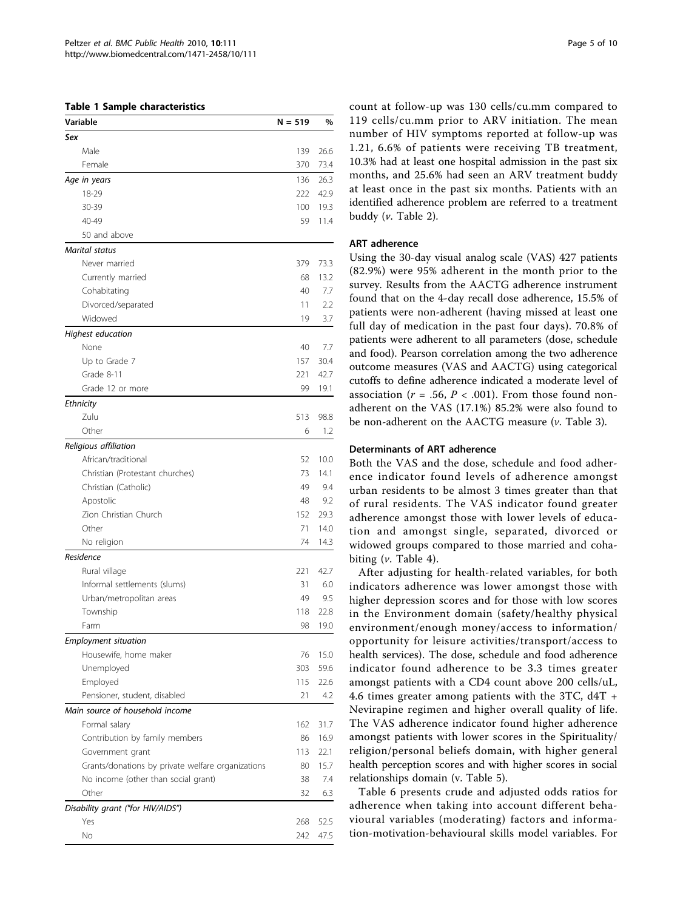#### <span id="page-4-0"></span>Table 1 Sample characteristics

| Variable                                          | $N = 519$ | %    |
|---------------------------------------------------|-----------|------|
| Sex                                               |           |      |
| Male                                              | 139       | 26.6 |
| Female                                            | 370       | 73.4 |
| Age in years                                      | 136       | 26.3 |
| 18-29                                             | 222       | 42.9 |
| 30-39                                             | 100       | 19.3 |
| 40-49                                             | 59        | 11.4 |
| 50 and above                                      |           |      |
| Marital status                                    |           |      |
| Never married                                     | 379       | 73.3 |
| Currently married                                 | 68        | 13.2 |
| Cohabitating                                      | 40        | 7.7  |
| Divorced/separated                                | 11        | 2.2  |
| Widowed                                           | 19        | 3.7  |
| Highest education                                 |           |      |
| None                                              | 40        | 7.7  |
| Up to Grade 7                                     | 157       | 30.4 |
| Grade 8-11                                        | 221       | 42.7 |
| Grade 12 or more                                  | 99        | 19.1 |
| Ethnicity                                         |           |      |
| Zulu                                              | 513       | 98.8 |
| Other                                             | 6         | 1.2  |
| Religious affiliation                             |           |      |
| African/traditional                               | 52        | 10.0 |
| Christian (Protestant churches)                   | 73        | 14.1 |
| Christian (Catholic)                              | 49        | 9.4  |
| Apostolic                                         | 48        | 9.2  |
| Zion Christian Church                             | 152       | 29.3 |
| Other                                             | 71        | 14.0 |
| No religion                                       | 74        | 14.3 |
| Residence                                         |           |      |
| Rural village                                     | 221       | 42.7 |
| Informal settlements (slums)                      | 31        | 6.0  |
| Urban/metropolitan areas                          | 49        | 9.5  |
| Township                                          | 118       | 22.8 |
| Farm                                              | 98        | 19.0 |
| <b>Employment situation</b>                       |           |      |
| Housewife, home maker                             | 76        | 15.0 |
| Unemployed                                        | 303       | 59.6 |
| Employed                                          | 115       | 22.6 |
| Pensioner, student, disabled                      | 21        | 4.2  |
| Main source of household income                   |           |      |
| Formal salary                                     | 162       | 31.7 |
| Contribution by family members                    | 86        | 16.9 |
| Government grant                                  | 113       | 22.1 |
| Grants/donations by private welfare organizations | 80        | 15.7 |
| No income (other than social grant)               | 38        | 7.4  |
| Other                                             | 32        | 6.3  |
| Disability grant ("for HIV/AIDS")                 |           |      |
| Yes                                               | 268       | 52.5 |
| No                                                | 242       | 47.5 |
|                                                   |           |      |

count at follow-up was 130 cells/cu.mm compared to 119 cells/cu.mm prior to ARV initiation. The mean number of HIV symptoms reported at follow-up was 1.21, 6.6% of patients were receiving TB treatment, 10.3% had at least one hospital admission in the past six months, and 25.6% had seen an ARV treatment buddy at least once in the past six months. Patients with an identified adherence problem are referred to a treatment buddy  $(\nu)$ . Table [2](#page-5-0)).

## ART adherence

Using the 30-day visual analog scale (VAS) 427 patients (82.9%) were 95% adherent in the month prior to the survey. Results from the AACTG adherence instrument found that on the 4-day recall dose adherence, 15.5% of patients were non-adherent (having missed at least one full day of medication in the past four days). 70.8% of patients were adherent to all parameters (dose, schedule and food). Pearson correlation among the two adherence outcome measures (VAS and AACTG) using categorical cutoffs to define adherence indicated a moderate level of association ( $r = .56$ ,  $P < .001$ ). From those found nonadherent on the VAS (17.1%) 85.2% were also found to be non-adherent on the AACTG measure  $(v.$  Table [3](#page-5-0)).

## Determinants of ART adherence

Both the VAS and the dose, schedule and food adherence indicator found levels of adherence amongst urban residents to be almost 3 times greater than that of rural residents. The VAS indicator found greater adherence amongst those with lower levels of education and amongst single, separated, divorced or widowed groups compared to those married and cohabiting  $(\nu$ . Table [4](#page-6-0)).

After adjusting for health-related variables, for both indicators adherence was lower amongst those with higher depression scores and for those with low scores in the Environment domain (safety/healthy physical environment/enough money/access to information/ opportunity for leisure activities/transport/access to health services). The dose, schedule and food adherence indicator found adherence to be 3.3 times greater amongst patients with a CD4 count above 200 cells/uL, 4.6 times greater among patients with the 3TC, d4T + Nevirapine regimen and higher overall quality of life. The VAS adherence indicator found higher adherence amongst patients with lower scores in the Spirituality/ religion/personal beliefs domain, with higher general health perception scores and with higher scores in social relationships domain (v. Table [5\)](#page-7-0).

Table [6](#page-8-0) presents crude and adjusted odds ratios for adherence when taking into account different behavioural variables (moderating) factors and information-motivation-behavioural skills model variables. For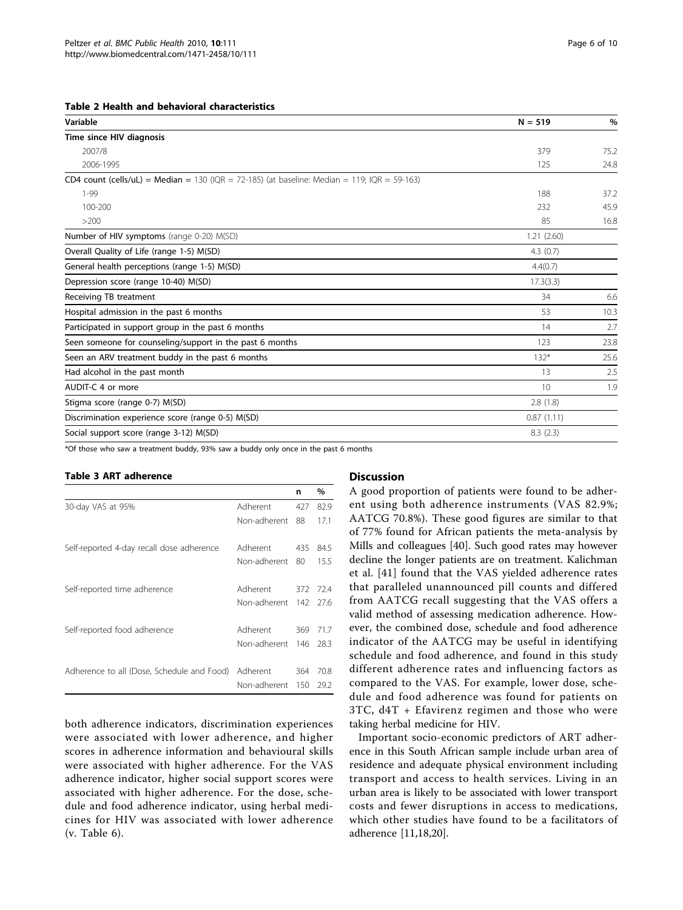<span id="page-5-0"></span>

| Variable                                                                                     | $N = 519$       | %    |
|----------------------------------------------------------------------------------------------|-----------------|------|
| Time since HIV diagnosis                                                                     |                 |      |
| 2007/8                                                                                       | 379             | 75.2 |
| 2006-1995                                                                                    | 125             | 24.8 |
| CD4 count (cells/uL) = Median = 130 (IQR = 72-185) (at baseline: Median = 119; IQR = 59-163) |                 |      |
| 1-99                                                                                         | 188             | 37.2 |
| 100-200                                                                                      | 232             | 45.9 |
| >200                                                                                         | 85              | 16.8 |
| Number of HIV symptoms (range 0-20) M(SD)                                                    | 1.21(2.60)      |      |
| Overall Quality of Life (range 1-5) M(SD)                                                    | 4.3(0.7)        |      |
| General health perceptions (range 1-5) M(SD)                                                 | 4.4(0.7)        |      |
| Depression score (range 10-40) M(SD)                                                         | 17.3(3.3)       |      |
| Receiving TB treatment                                                                       | 34              | 6.6  |
| Hospital admission in the past 6 months                                                      | 53              | 10.3 |
| Participated in support group in the past 6 months                                           | 14              | 2.7  |
| Seen someone for counseling/support in the past 6 months                                     | 123             | 23.8 |
| Seen an ARV treatment buddy in the past 6 months                                             | $132*$          | 25.6 |
| Had alcohol in the past month                                                                | 13              | 2.5  |
| AUDIT-C 4 or more                                                                            | 10 <sup>1</sup> | 1.9  |
| Stigma score (range 0-7) M(SD)                                                               | 2.8(1.8)        |      |
| Discrimination experience score (range 0-5) M(SD)                                            | 0.87(1.11)      |      |
| Social support score (range 3-12) M(SD)                                                      | 8.3(2.3)        |      |
|                                                                                              |                 |      |

\*Of those who saw a treatment buddy, 93% saw a buddy only once in the past 6 months

Table 3 ART adherence

|                                            |              | n   | %    |
|--------------------------------------------|--------------|-----|------|
| 30-day VAS at 95%                          | Adherent     | 427 | 82.9 |
|                                            | Non-adherent | 88  | 17.1 |
| Self-reported 4-day recall dose adherence  | Adherent     | 435 | 84.5 |
|                                            | Non-adherent | 80  | 15.5 |
| Self-reported time adherence               | Adherent     | 372 | 72.4 |
|                                            | Non-adherent | 142 | 27.6 |
| Self-reported food adherence               | Adherent     | 369 | 71.7 |
|                                            | Non-adherent | 146 | 28.3 |
| Adherence to all (Dose, Schedule and Food) | Adherent     | 364 | 70.8 |
|                                            | Non-adherent | 150 | 29.2 |

both adherence indicators, discrimination experiences were associated with lower adherence, and higher scores in adherence information and behavioural skills were associated with higher adherence. For the VAS adherence indicator, higher social support scores were associated with higher adherence. For the dose, schedule and food adherence indicator, using herbal medicines for HIV was associated with lower adherence (v. Table [6](#page-8-0)).

## **Discussion**

A good proportion of patients were found to be adherent using both adherence instruments (VAS 82.9%; AATCG 70.8%). These good figures are similar to that of 77% found for African patients the meta-analysis by Mills and colleagues [\[40](#page-9-0)]. Such good rates may however decline the longer patients are on treatment. Kalichman et al. [[41\]](#page-9-0) found that the VAS yielded adherence rates that paralleled unannounced pill counts and differed from AATCG recall suggesting that the VAS offers a valid method of assessing medication adherence. However, the combined dose, schedule and food adherence indicator of the AATCG may be useful in identifying schedule and food adherence, and found in this study different adherence rates and influencing factors as compared to the VAS. For example, lower dose, schedule and food adherence was found for patients on 3TC, d4T + Efavirenz regimen and those who were taking herbal medicine for HIV.

Important socio-economic predictors of ART adherence in this South African sample include urban area of residence and adequate physical environment including transport and access to health services. Living in an urban area is likely to be associated with lower transport costs and fewer disruptions in access to medications, which other studies have found to be a facilitators of adherence [[11,18,20](#page-9-0)].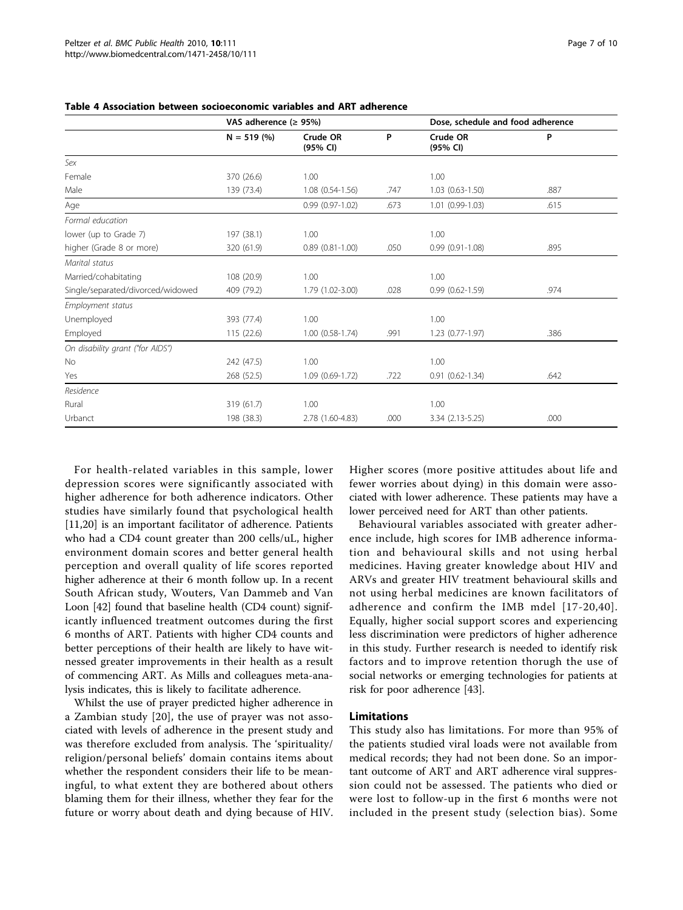|                                   | VAS adherence $( \geq 95\%)$ |                        |      | Dose, schedule and food adherence |      |  |  |
|-----------------------------------|------------------------------|------------------------|------|-----------------------------------|------|--|--|
|                                   | $N = 519 (%)$                | Crude OR<br>(95% CI)   |      | Crude OR<br>(95% CI)              | P    |  |  |
| Sex                               |                              |                        |      |                                   |      |  |  |
| Female                            | 370 (26.6)                   | 1.00                   |      | 1.00                              |      |  |  |
| Male                              | 139 (73.4)                   | $1.08(0.54-1.56)$      | .747 | $1.03$ $(0.63 - 1.50)$            | .887 |  |  |
| Age                               |                              | $0.99(0.97-1.02)$      | .673 | 1.01 (0.99-1.03)                  | .615 |  |  |
| Formal education                  |                              |                        |      |                                   |      |  |  |
| lower (up to Grade 7)             | 197 (38.1)                   | 1.00                   |      | 1.00                              |      |  |  |
| higher (Grade 8 or more)          | 320 (61.9)                   | $0.89$ $(0.81 - 1.00)$ | .050 | $0.99$ $(0.91 - 1.08)$            | .895 |  |  |
| Marital status                    |                              |                        |      |                                   |      |  |  |
| Married/cohabitating              | 108 (20.9)                   | 1.00                   |      | 1.00                              |      |  |  |
| Single/separated/divorced/widowed | 409 (79.2)                   | 1.79 (1.02-3.00)       | .028 | $0.99(0.62 - 1.59)$               | .974 |  |  |
| Employment status                 |                              |                        |      |                                   |      |  |  |
| Unemployed                        | 393 (77.4)                   | 1.00                   |      | 1.00                              |      |  |  |
| Employed                          | 115 (22.6)                   | $1.00(0.58-1.74)$      | .991 | 1.23 (0.77-1.97)                  | .386 |  |  |
| On disability grant ("for AIDS")  |                              |                        |      |                                   |      |  |  |
| <b>No</b>                         | 242 (47.5)                   | 1.00                   |      | 1.00                              |      |  |  |
| Yes                               | 268 (52.5)                   | 1.09 (0.69-1.72)       | .722 | $0.91$ $(0.62 - 1.34)$            | .642 |  |  |
| Residence                         |                              |                        |      |                                   |      |  |  |
| Rural                             | 319 (61.7)                   | 1.00                   |      | 1.00                              |      |  |  |
| Urbanct                           | 198 (38.3)                   | 2.78 (1.60-4.83)       | .000 | 3.34 (2.13-5.25)                  | .000 |  |  |

#### <span id="page-6-0"></span>Table 4 Association between socioeconomic variables and ART adherence

For health-related variables in this sample, lower depression scores were significantly associated with higher adherence for both adherence indicators. Other studies have similarly found that psychological health [[11,20\]](#page-9-0) is an important facilitator of adherence. Patients who had a CD4 count greater than 200 cells/uL, higher environment domain scores and better general health perception and overall quality of life scores reported higher adherence at their 6 month follow up. In a recent South African study, Wouters, Van Dammeb and Van Loon [\[42\]](#page-9-0) found that baseline health (CD4 count) significantly influenced treatment outcomes during the first 6 months of ART. Patients with higher CD4 counts and better perceptions of their health are likely to have witnessed greater improvements in their health as a result of commencing ART. As Mills and colleagues meta-analysis indicates, this is likely to facilitate adherence.

Whilst the use of prayer predicted higher adherence in a Zambian study [[20\]](#page-9-0), the use of prayer was not associated with levels of adherence in the present study and was therefore excluded from analysis. The 'spirituality/ religion/personal beliefs' domain contains items about whether the respondent considers their life to be meaningful, to what extent they are bothered about others blaming them for their illness, whether they fear for the future or worry about death and dying because of HIV. Higher scores (more positive attitudes about life and fewer worries about dying) in this domain were associated with lower adherence. These patients may have a lower perceived need for ART than other patients.

Behavioural variables associated with greater adherence include, high scores for IMB adherence information and behavioural skills and not using herbal medicines. Having greater knowledge about HIV and ARVs and greater HIV treatment behavioural skills and not using herbal medicines are known facilitators of adherence and confirm the IMB mdel [[17-20](#page-9-0),[40\]](#page-9-0). Equally, higher social support scores and experiencing less discrimination were predictors of higher adherence in this study. Further research is needed to identify risk factors and to improve retention thorugh the use of social networks or emerging technologies for patients at risk for poor adherence [[43](#page-9-0)].

## Limitations

This study also has limitations. For more than 95% of the patients studied viral loads were not available from medical records; they had not been done. So an important outcome of ART and ART adherence viral suppression could not be assessed. The patients who died or were lost to follow-up in the first 6 months were not included in the present study (selection bias). Some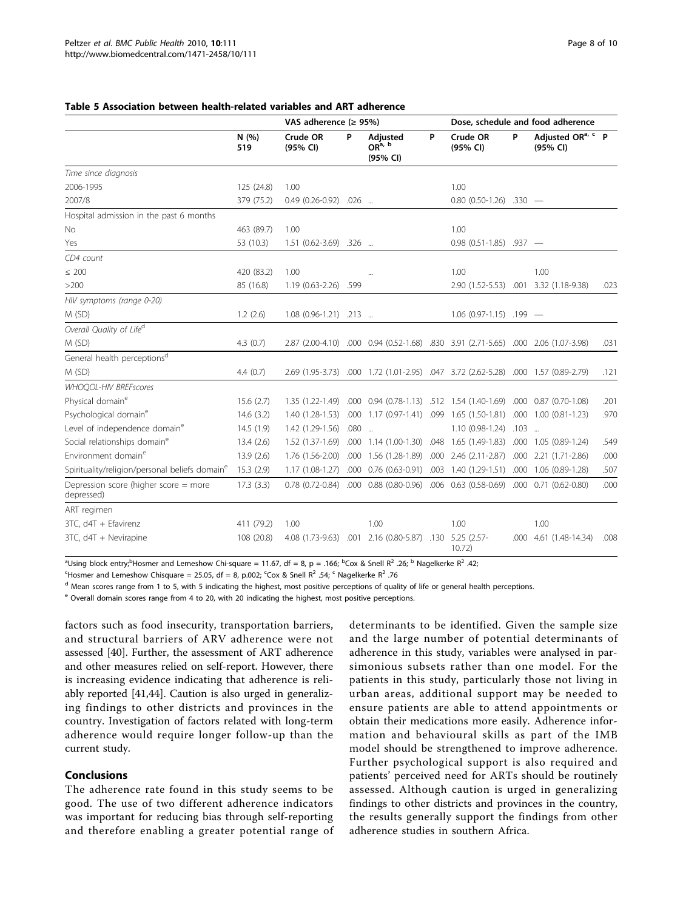|                                                       |             | VAS adherence ( $\geq$ 95%) |   |                                                                                    | Dose, schedule and food adherence |                               |      |                                           |      |
|-------------------------------------------------------|-------------|-----------------------------|---|------------------------------------------------------------------------------------|-----------------------------------|-------------------------------|------|-------------------------------------------|------|
|                                                       | N(%)<br>519 | Crude OR<br>(95% CI)        | P | Adjusted<br>OR <sup>a, b</sup><br>(95% CI)                                         | P                                 | Crude OR<br>(95% CI)          | P    | Adjusted OR <sup>a, c</sup> P<br>(95% CI) |      |
| Time since diagnosis                                  |             |                             |   |                                                                                    |                                   |                               |      |                                           |      |
| 2006-1995                                             | 125 (24.8)  | 1.00                        |   |                                                                                    |                                   | 1.00                          |      |                                           |      |
| 2007/8                                                | 379 (75.2)  | $0.49(0.26-0.92)$ .026      |   |                                                                                    |                                   | $0.80(0.50-1.26)$ .330 -      |      |                                           |      |
| Hospital admission in the past 6 months               |             |                             |   |                                                                                    |                                   |                               |      |                                           |      |
| No                                                    | 463 (89.7)  | 1.00                        |   |                                                                                    |                                   | 1.00                          |      |                                           |      |
| Yes                                                   | 53 (10.3)   | $1.51$ (0.62-3.69) .326     |   |                                                                                    |                                   | $0.98(0.51-1.85)$ .937 -      |      |                                           |      |
| CD4 count                                             |             |                             |   |                                                                                    |                                   |                               |      |                                           |      |
| $\leq 200$                                            | 420 (83.2)  | 1.00                        |   | $\cdots$                                                                           |                                   | 1.00                          |      | 1.00                                      |      |
| >200                                                  | 85 (16.8)   | 1.19 (0.63-2.26) .599       |   |                                                                                    |                                   |                               |      | 2.90 (1.52-5.53) .001 3.32 (1.18-9.38)    | .023 |
| HIV symptoms (range 0-20)                             |             |                             |   |                                                                                    |                                   |                               |      |                                           |      |
| M (SD)                                                | 1.2(2.6)    | $1.08$ (0.96-1.21) .213     |   |                                                                                    |                                   | $1.06(0.97-1.15)$ .199 -      |      |                                           |      |
| Overall Quality of Life <sup>d</sup>                  |             |                             |   |                                                                                    |                                   |                               |      |                                           |      |
| M (SD)                                                | 4.3(0.7)    |                             |   | 2.87 (2.00-4.10) .000 0.94 (0.52-1.68) .830 3.91 (2.71-5.65) .000 2.06 (1.07-3.98) |                                   |                               |      |                                           | .031 |
| General health perceptions <sup>d</sup>               |             |                             |   |                                                                                    |                                   |                               |      |                                           |      |
| M (SD)                                                | 4.4(0.7)    |                             |   | 2.69 (1.95-3.73) .000 1.72 (1.01-2.95) .047 3.72 (2.62-5.28) .000 1.57 (0.89-2.79) |                                   |                               |      |                                           | .121 |
| <b>WHOQOL-HIV BREFscores</b>                          |             |                             |   |                                                                                    |                                   |                               |      |                                           |      |
| Physical domain <sup>e</sup>                          | 15.6(2.7)   |                             |   | 1.35 (1.22-1.49) .000 0.94 (0.78-1.13) .512 1.54 (1.40-1.69) .000 0.87 (0.70-1.08) |                                   |                               |      |                                           | .201 |
| Psychological domain <sup>e</sup>                     | 14.6(3.2)   |                             |   | 1.40 (1.28-1.53) .000 1.17 (0.97-1.41) .099 1.65 (1.50-1.81)                       |                                   |                               |      | $.000$ $1.00$ $(0.81 - 1.23)$             | .970 |
| Level of independence domain <sup>e</sup>             | 14.5(1.9)   | 1.42 (1.29-1.56) .080       |   | $\mathbf{r}$                                                                       |                                   | $1.10(0.98-1.24)$             | .103 |                                           |      |
| Social relationships domain <sup>e</sup>              | 13.4(2.6)   |                             |   | 1.52 (1.37-1.69) .000 1.14 (1.00-1.30) .048 1.65 (1.49-1.83) .000 1.05 (0.89-1.24) |                                   |                               |      |                                           | .549 |
| Environment domain <sup>e</sup>                       | 13.9(2.6)   |                             |   | 1.76 (1.56-2.00) .000 1.56 (1.28-1.89)                                             |                                   | $.000$ $2.46$ $(2.11 - 2.87)$ |      | .000 2.21 (1.71-2.86)                     | .000 |
| Spirituality/religion/personal beliefs domaine        | 15.3(2.9)   |                             |   | 1.17 (1.08-1.27) .000 0.76 (0.63-0.91)                                             |                                   | $.003$ 1.40 $(1.29-1.51)$     |      | .000 1.06 (0.89-1.28)                     | .507 |
| Depression score (higher score $=$ more<br>depressed) | 17.3(3.3)   |                             |   | 0.78 (0.72-0.84) .000 0.88 (0.80-0.96)                                             |                                   | 0.06 0.63 (0.58-0.69)         |      | .000 0.71 (0.62-0.80)                     | .000 |
| ART regimen                                           |             |                             |   |                                                                                    |                                   |                               |      |                                           |      |
| 3TC, d4T + Efavirenz                                  | 411 (79.2)  | 1.00                        |   | 1.00                                                                               |                                   | 1.00                          |      | 1.00                                      |      |
| 3TC, d4T + Nevirapine                                 | 108 (20.8)  |                             |   | 4.08 (1.73-9.63) .001 2.16 (0.80-5.87) .130 5.25 (2.57-                            |                                   | 10.72)                        |      | .000 4.61 (1.48-14.34)                    | .008 |

## <span id="page-7-0"></span>Table 5 Association between health-related variables and ART adherence

<sup>a</sup>Using block entry;<sup>b</sup>Hosmer and Lemeshow Chi-square = 11.67, df = 8, p = .166; <sup>b</sup>Cox & Snell R<sup>2</sup> .26; <sup>b</sup> Nagelkerke R<sup>2</sup> .42;

<sup>c</sup>Hosmer and Lemeshow Chisquare = 25.05, df = 8, p.002; <sup>c</sup>Cox & Snell R<sup>2</sup> .54; <sup>c</sup> Nagelkerke R<sup>2</sup> .76

<sup>d</sup> Mean scores range from 1 to 5, with 5 indicating the highest, most positive perceptions of quality of life or general health perceptions.

<sup>e</sup> Overall domain scores range from 4 to 20, with 20 indicating the highest, most positive perceptions.

factors such as food insecurity, transportation barriers, and structural barriers of ARV adherence were not assessed [[40](#page-9-0)]. Further, the assessment of ART adherence and other measures relied on self-report. However, there is increasing evidence indicating that adherence is reliably reported [[41,44](#page-9-0)]. Caution is also urged in generalizing findings to other districts and provinces in the country. Investigation of factors related with long-term adherence would require longer follow-up than the current study.

## Conclusions

The adherence rate found in this study seems to be good. The use of two different adherence indicators was important for reducing bias through self-reporting and therefore enabling a greater potential range of

determinants to be identified. Given the sample size and the large number of potential determinants of adherence in this study, variables were analysed in parsimonious subsets rather than one model. For the patients in this study, particularly those not living in urban areas, additional support may be needed to ensure patients are able to attend appointments or obtain their medications more easily. Adherence information and behavioural skills as part of the IMB model should be strengthened to improve adherence. Further psychological support is also required and patients' perceived need for ARTs should be routinely assessed. Although caution is urged in generalizing findings to other districts and provinces in the country, the results generally support the findings from other adherence studies in southern Africa.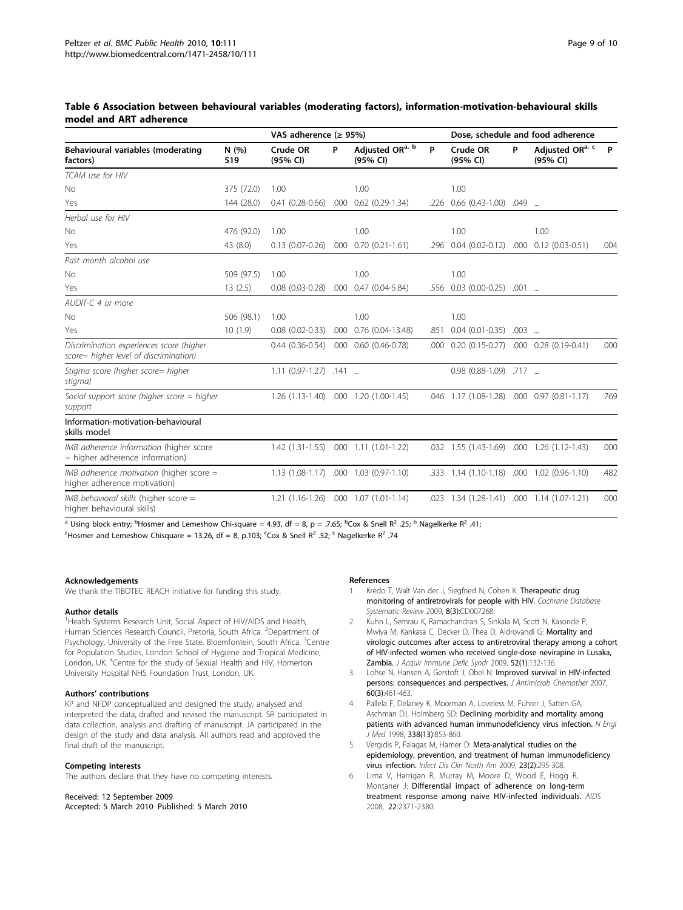|                                                                                    |             | VAS adherence ( $\geq$ 95%) |   |                                          | Dose, schedule and food adherence |                                             |   |                                         |      |
|------------------------------------------------------------------------------------|-------------|-----------------------------|---|------------------------------------------|-----------------------------------|---------------------------------------------|---|-----------------------------------------|------|
| Behavioural variables (moderating<br>factors)                                      | N(%)<br>519 | Crude OR<br>(95% CI)        | P | Adjusted OR <sup>a, b</sup><br>(95% CI)  | P                                 | Crude OR<br>(95% CI)                        | P | Adjusted OR <sup>a, c</sup><br>(95% CI) | P    |
| TCAM use for HIV                                                                   |             |                             |   |                                          |                                   |                                             |   |                                         |      |
| <b>No</b>                                                                          | 375 (72.0)  | 1.00                        |   | 1.00                                     |                                   | 1.00                                        |   |                                         |      |
| Yes                                                                                | 144 (28.0)  | $0.41(0.28-0.66)$           |   | $.000$ $0.62$ $(0.29-1.34)$              |                                   | .226 0.66 (0.43-1.00) .049                  |   |                                         |      |
| Herbal use for HIV                                                                 |             |                             |   |                                          |                                   |                                             |   |                                         |      |
| <b>No</b>                                                                          | 476 (92.0)  | 1.00                        |   | 1.00                                     |                                   | 1.00                                        |   | 1.00                                    |      |
| Yes                                                                                | 43 (8.0)    |                             |   | $0.13$ (0.07-0.26) .000 0.70 (0.21-1.61) |                                   | .296 0.04 (0.02-0.12)                       |   | $.000$ $0.12$ $(0.03 - 0.51)$           | .004 |
| Past month alcohol use                                                             |             |                             |   |                                          |                                   |                                             |   |                                         |      |
| <b>No</b>                                                                          | 509 (97.5)  | 1.00                        |   | 1.00                                     |                                   | 1.00                                        |   |                                         |      |
| Yes                                                                                | 13(2.5)     | $0.08$ $(0.03 - 0.28)$      |   | .000 0.47 (0.04-5.84)                    |                                   | .556 0.03 (0.00-0.25) .001                  |   |                                         |      |
| AUDIT-C 4 or more                                                                  |             |                             |   |                                          |                                   |                                             |   |                                         |      |
| <b>No</b>                                                                          | 506 (98.1)  | 1.00                        |   | 1.00                                     |                                   | 1.00                                        |   |                                         |      |
| Yes                                                                                | 10(1.9)     | $0.08$ $(0.02 - 0.33)$      |   | .000 0.76 (0.04-13.48)                   |                                   | .851 0.04 (0.01-0.35) .003                  |   |                                         |      |
| Discrimination experiences score (higher<br>score= higher level of discrimination) |             | $0.44(0.36 - 0.54)$         |   | .000 0.60 (0.46-0.78)                    | .000                              | 0.20 (0.15-0.27) .000 0.28 (0.19-0.41)      |   |                                         | .000 |
| Stigma score (higher score= higher<br>stigma)                                      |             | $1.11$ (0.97-1.27) $.141$   |   |                                          |                                   | $0.98$ $(0.88-1.09)$ .717                   |   |                                         |      |
| Social support score (higher score $=$ higher<br>support                           |             |                             |   | 1.26 (1.13-1.40) .000 1.20 (1.00-1.45)   |                                   | .046 1.17 (1.08-1.28) .000 0.97 (0.81-1.17) |   |                                         | .769 |
| Information-motivation-behavioural<br>skills model                                 |             |                             |   |                                          |                                   |                                             |   |                                         |      |
| IMB adherence information (higher score<br>= higher adherence information)         |             | $1.42(1.31-1.55)$           |   | $.000$ 1.11 $(1.01 - 1.22)$              |                                   | .032 1.55 (1.43-1.69)                       |   | $.000$ 1.26 $(1.12 - 1.43)$             | .000 |
| IMB adherence motivation (higher score =<br>higher adherence motivation)           |             |                             |   | 1.13 (1.08-1.17) .000 1.03 (0.97-1.10)   |                                   | $.333$ 1.14 (1.10-1.18)                     |   | $.000$ 1.02 $(0.96-1.10)$               | .482 |
| IMB behavioral skills (higher score $=$<br>higher behavioural skills)              |             |                             |   | 1.21 (1.16-1.26) .000 1.07 (1.01-1.14)   |                                   | .023 1.34 (1.28-1.41) .000 1.14 (1.07-1.21) |   |                                         | .000 |

## <span id="page-8-0"></span>Table 6 Association between behavioural variables (moderating factors), information-motivation-behavioural skills model and ART adherence

<sup>a</sup> Using block entry; <sup>b</sup>Hosmer and Lemeshow Chi-square = 4.93, df = 8, p = .7.65; <sup>b</sup>Cox & Snell R<sup>2</sup> .25; <sup>b</sup> Nagelkerke R<sup>2</sup> .41;

<sup>c</sup>Hosmer and Lemeshow Chisquare = 13.26, df = 8, p.103;  $\degree$ Cox & Snell R<sup>2</sup> .52;  $\degree$  Nagelkerke R<sup>2</sup> .74

#### Acknowledgements

We thank the TIBOTEC REACH initiative for funding this study.

#### Author details

<sup>1</sup> Health Systems Research Unit, Social Aspect of HIV/AIDS and Health, Human Sciences Research Council, Pretoria, South Africa. <sup>2</sup>Department of Psychology, University of the Free State, Bloemfontein, South Africa. <sup>3</sup>Centre for Population Studies, London School of Hygiene and Tropical Medicine, London, UK. <sup>4</sup>Centre for the study of Sexual Health and HIV, Homerton University Hospital NHS Foundation Trust, London, UK.

#### Authors' contributions

KP and NFDP conceptualized and designed the study, analysed and interpreted the data, drafted and revised the manuscript. SR participated in data collection, analysis and drafting of manuscript. JA participated in the design of the study and data analysis. All authors read and approved the final draft of the manuscript.

#### Competing interests

The authors declare that they have no competing interests.

#### Received: 12 September 2009

Accepted: 5 March 2010 Published: 5 March 2010

#### References

- 1. Kredo T, Walt Van der J, Siegfried N, Cohen K: Therapeutic drug monitoring of antiretrovirals for people with HIV. Cochrane Database Systematic Review 2009, 8(3):CD007268.
- 2. Kuhn L, Semrau K, Ramachandran S, Sinkala M, Scott N, Kasonde P, Mwiya M, Kankasa C, Decker D, Thea D, Aldrovandi G: [Mortality and](http://www.ncbi.nlm.nih.gov/pubmed/19506483?dopt=Abstract) [virologic outcomes after access to antiretroviral therapy among a cohort](http://www.ncbi.nlm.nih.gov/pubmed/19506483?dopt=Abstract) [of HIV-infected women who received single-dose nevirapine in Lusaka,](http://www.ncbi.nlm.nih.gov/pubmed/19506483?dopt=Abstract) [Zambia.](http://www.ncbi.nlm.nih.gov/pubmed/19506483?dopt=Abstract) J Acquir Immune Defic Syndr 2009, 52(1):132-136.
- 3. Lohse N, Hansen A, Gerstoft J, Obel N: [Improved survival in HIV-infected](http://www.ncbi.nlm.nih.gov/pubmed/17609196?dopt=Abstract) [persons: consequences and perspectives.](http://www.ncbi.nlm.nih.gov/pubmed/17609196?dopt=Abstract) J Antimicrob Chemother 2007, 60(3):461-463.
- 4. Pallela F, Delaney K, Moorman A, Loveless M, Fuhrer J, Satten GA, Aschman DJ, Holmberg SD: [Declining morbidity and mortality among](http://www.ncbi.nlm.nih.gov/pubmed/9516219?dopt=Abstract) [patients with advanced human immunodeficiency virus infection.](http://www.ncbi.nlm.nih.gov/pubmed/9516219?dopt=Abstract) N Engl J Med 1998, 338(13):853-860.
- 5. Vergidis P, Falagas M, Hamer D: [Meta-analytical studies on the](http://www.ncbi.nlm.nih.gov/pubmed/19393910?dopt=Abstract) [epidemiology, prevention, and treatment of human immunodeficiency](http://www.ncbi.nlm.nih.gov/pubmed/19393910?dopt=Abstract) [virus infection.](http://www.ncbi.nlm.nih.gov/pubmed/19393910?dopt=Abstract) Infect Dis Clin North Am 2009, 23(2):295-308.
- 6. Lima V, Harrigan R, Murray M, Moore D, Wood E, Hogg R, Montaner J: [Differential impact of adherence on long-term](http://www.ncbi.nlm.nih.gov/pubmed/18981777?dopt=Abstract) [treatment response among naive HIV-infected individuals.](http://www.ncbi.nlm.nih.gov/pubmed/18981777?dopt=Abstract) AIDS 2008, 22:2371-2380.